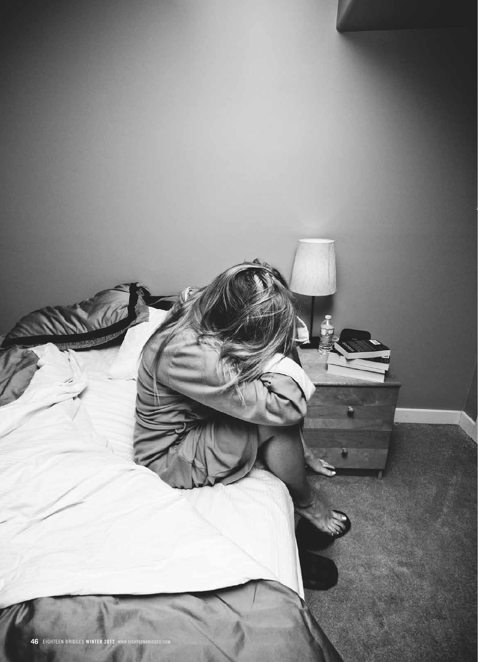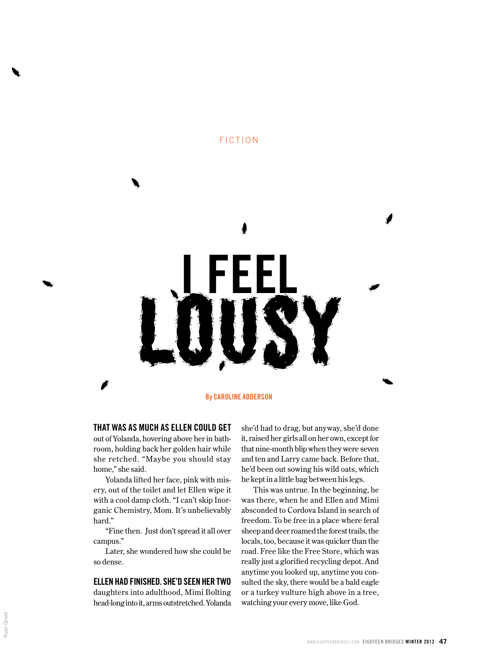

# FICTION

# **THAT WAS AS MUCH AS ELLEN COULD GET**

out of Yolanda, hovering above her in bathroom, holding back her golden hair while she retched. "Maybe you should stay home," she said.

Yolanda lifted her face, pink with misery, out of the toilet and let Ellen wipe it with a cool damp cloth. "I can't skip Inorganic Chemistry, Mom. It's unbelievably hard."

"Fine then. Just don't spread it all over campus."

Later, she wondered how she could be so dense.

# **ELLEN HAD FINISHED. SHE'D SEEN HER TWO**

daughters into adulthood, Mimi Bolting head-long into it, arms outstretched. Yolanda

she'd had to drag, but anyway, she'd done it, raised her girls all on her own, except for that nine-month blip when they were seven and ten and Larry came back. Before that, he'd been out sowing his wild oats, which he kept in a little bag between his legs.

This was untrue. In the beginning, he was there, when he and Ellen and Mimi absconded to Cordova Island in search of freedom. To be free in a place where feral sheep and deer roamed the forest trails, the locals, too, because it was quicker than the road. Free like the Free Store, which was really just a glorified recycling depot. And anytime you looked up, anytime you consulted the sky, there would be a bald eagle or a turkey vulture high above in a tree, watching your every move, like God.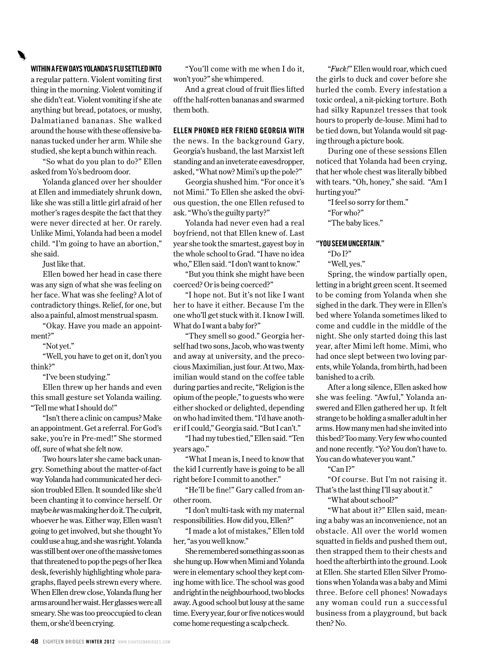## **WITHIN A FEW DAYS YOLANDA'S FLU SETTLED INTO**

a regular pattern. Violent vomiting first thing in the morning. Violent vomiting if she didn't eat. Violent vomiting if she ate anything but bread, potatoes, or mushy, Dalmatianed bananas. She walked around the house with these offensive bananas tucked under her arm. While she studied, she kept a bunch within reach.

"So what do you plan to do?" Ellen asked from Yo's bedroom door.

Yolanda glanced over her shoulder at Ellen and immediately shrunk down, like she was still a little girl afraid of her mother's rages despite the fact that they were never directed at her. Or rarely. Unlike Mimi, Yolanda had been a model child. "I'm going to have an abortion," she said.

Just like that.

Ellen bowed her head in case there was any sign of what she was feeling on her face. What was she feeling? A lot of contradictory things. Relief, for one, but also a painful, almost menstrual spasm.

"Okay. Have you made an appointment?"

"Not yet."

"Well, you have to get on it, don't you think?"

"I've been studying."

Ellen threw up her hands and even this small gesture set Yolanda wailing. "Tell me what I should do!"

"Isn't there a clinic on campus? Make an appointment. Get a referral. For God's sake, you're in Pre-med!" She stormed off, sure of what she felt now.

Two hours later she came back unangry. Something about the matter-of-fact way Yolanda had communicated her decision troubled Ellen. It sounded like she'd been chanting it to convince herself. Or maybe *he* was making her do it. The culprit, whoever he was. Either way, Ellen wasn't going to get involved, but she thought Yo could use a hug, and she was right. Yolanda was still bent over one of the massive tomes that threatened to pop the pegs of her Ikea desk, feverishly highlighting whole paragraphs, flayed peels strewn every where. When Ellen drew close, Yolanda flung her arms around her waist. Her glasses were all smeary. She was too preoccupied to clean them, or she'd been crying.

"You'll come with me when I do it, won't you?" she whimpered.

And a great cloud of fruit flies lifted off the half-rotten bananas and swarmed them both.

# **ELLEN PHONED HER FRIEND GEORGIA WITH**

the news. In the background Gary, Georgia's husband, the last Marxist left standing and an inveterate eavesdropper, asked, "What now? Mimi's up the pole?"

Georgia shushed him. "For once it's not Mimi." To Ellen she asked the obvious question, the one Ellen refused to ask. "Who's the guilty party?"

Yolanda had never even had a real boyfriend, not that Ellen knew of. Last year she took the smartest, gayest boy in the whole school to Grad. "I have no idea who," Ellen said. "I don't want to know."

"But you think she might have been coerced? Or is being coerced?"

"I hope not. But it's not like I want her to have it either. Because I'm the one who'll get stuck with it. I know I will. What do I want a baby for?"

"They smell so good." Georgia herself had two sons, Jacob, who was twenty and away at university, and the precocious Maximilian, just four. At two, Maximilian would stand on the coffee table during parties and recite, "Religion is the opium of the people," to guests who were either shocked or delighted, depending on who had invited them. "I'd have another if I could," Georgia said. "But I can't."

"I had my tubes tied," Ellen said. "Ten years ago."

"What I mean is, I need to know that the kid I currently have is going to be all right before I commit to another."

"He'll be fine!" Gary called from another room.

"I don't multi-task with my maternal responsibilities. How did you, Ellen?"

"I made a lot of mistakes," Ellen told her, "as you well know."

She remembered something as soon as she hung up. How when Mimi and Yolanda were in elementary school they kept coming home with lice. The school was good and right in the neighbourhood, two blocks away. A good school but lousy at the same time. Every year, four or five notices would come home requesting a scalp check.

"*Fuck!*" Ellen would roar, which cued the girls to duck and cover before she hurled the comb. Every infestation a toxic ordeal, a nit-picking torture. Both had silky Rapunzel tresses that took hours to properly de-louse. Mimi had to be tied down, but Yolanda would sit paging through a picture book.

During one of these sessions Ellen noticed that Yolanda had been crying, that her whole chest was literally bibbed with tears. "Oh, honey," she said. "Am I hurting you?"

"I feel so sorry for them."

"For who?"

"The baby lices."

#### **"YOU SEEM UNCERTAIN."**

"Do I?"

"Well, yes."

Spring, the window partially open, letting in a bright green scent. It seemed to be coming from Yolanda when she sighed in the dark. They were in Ellen's bed where Yolanda sometimes liked to come and cuddle in the middle of the night. She only started doing this last year, after Mimi left home. Mimi, who had once slept between two loving parents, while Yolanda, from birth, had been banished to a crib.

After a long silence, Ellen asked how she was feeling. "Awful," Yolanda answered and Ellen gathered her up. It felt strange to be holding a smaller adult in her arms. How many men had she invited into this bed? Too many. Very few who counted and none recently. "Yo? You don't have to. You can do whatever you want."

"Can I?"

"Of course. But I'm not raising it. That's the last thing I'll say about it."

"What about school?"

"What about it?" Ellen said, meaning a baby was an inconvenience, not an obstacle. All over the world women squatted in fields and pushed them out, then strapped them to their chests and hoed the afterbirth into the ground. Look at Ellen. She started Ellen Silver Promotions when Yolanda was a baby and Mimi three. Before cell phones! Nowadays any woman could run a successful business from a playground, but back then? No.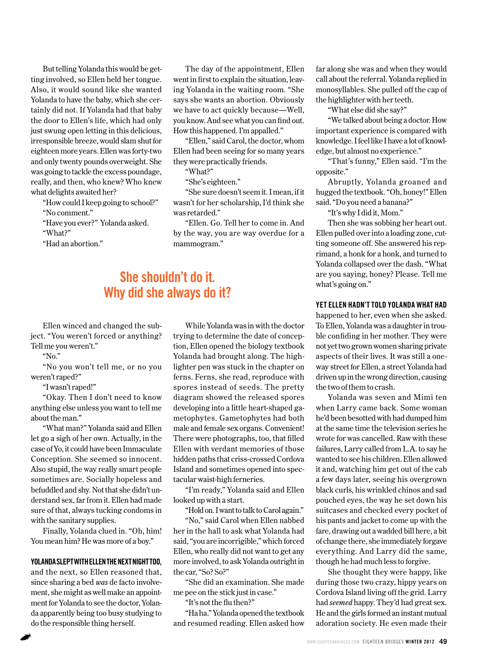But telling Yolanda this would be getting involved, so Ellen held her tongue. Also, it would sound like she wanted Yolanda to have the baby, which she certainly did not. If Yolanda had that baby the door to Ellen's life, which had only just swung open letting in this delicious, irresponsible breeze, would slam shut for eighteen more years. Ellen was forty-two and only twenty pounds overweight. She was going to tackle the excess poundage, really, and then, who knew? Who knew what delights awaited her?

"How could I keep going to school?" "No comment."

- "Have you ever?" Yolanda asked.
- "What?"
- "Had an abortion."

# The day of the appointment, Ellen went in first to explain the situation, leaving Yolanda in the waiting room. "She says she wants an abortion. Obviously we have to act quickly because—Well, you know. And see what you can find out. How this happened. I'm appalled."

"Ellen," said Carol, the doctor, whom Ellen had been seeing for so many years they were practically friends.

"What?"

"She's eighteen."

"She sure doesn't seem it. I mean, if it wasn't for her scholarship, I'd think she was retarded."

"Ellen. Go. Tell her to come in. And by the way, you are way overdue for a mammogram."

# **She shouldn't do it. Why did she always do it?**

Ellen winced and changed the subject. "You weren't forced or anything? Tell me you weren't."

"No."

"No you won't tell me, or no you weren't raped?"

"I wasn't raped!"

"Okay. Then I don't need to know anything else unless you want to tell me about the man."

"What man?" Yolanda said and Ellen let go a sigh of her own. Actually, in the case of Yo, it could have been Immaculate Conception. She seemed so innocent. Also stupid, the way really smart people sometimes are. Socially hopeless and befuddled and shy. Not that she didn't understand sex, far from it. Ellen had made sure of that, always tucking condoms in with the sanitary supplies.

Finally, Yolanda clued in. "Oh, him! You mean him? He was more of a boy."

### **YOLANDA SLEPT WITH ELLEN THE NEXT NIGHT TOO,**

and the next, so Ellen reasoned that, since sharing a bed *was* de facto involvement, she might as well make an appointment for Yolanda to see the doctor, Yolanda apparently being too busy studying to do the responsible thing herself.

While Yolanda was in with the doctor trying to determine the date of conception, Ellen opened the biology textbook Yolanda had brought along. The highlighter pen was stuck in the chapter on ferns. Ferns, she read, reproduce with spores instead of seeds. The pretty diagram showed the released spores developing into a little heart-shaped gametophytes. Gametophytes had both male and female sex organs. Convenient! There were photographs, too, that filled Ellen with verdant memories of those hidden paths that criss-crossed Cordova Island and sometimes opened into spectacular waist-high ferneries.

"I'm ready," Yolanda said and Ellen looked up with a start.

"Hold on. I want to talk to Carol again."

"No," said Carol when Ellen nabbed her in the hall to ask what Yolanda had said, "you are incorrigible," which forced Ellen, who really did not want to get any more involved, to ask Yolanda outright in the car. "So? So?"

"She did an examination. She made me pee on the stick just in case."

"It's not the flu then?"

"Ha ha." Yolanda opened the textbook and resumed reading. Ellen asked how far along she was and when they would call about the referral. Yolanda replied in monosyllables. She pulled off the cap of the highlighter with her teeth.

"What else did she say?"

"We talked about being a doctor. How important experience is compared with knowledge. I feel like I have a lot of knowledge, but almost no experience."

"That's funny," Ellen said. "I'm the opposite."

Abruptly, Yolanda groaned and hugged the textbook. "Oh, honey!" Ellen said. "Do you need a banana?"

"It's why I did it, Mom."

Then she was sobbing her heart out. Ellen pulled over into a loading zone, cutting someone off. She answered his reprimand, a honk for a honk, and turned to Yolanda collapsed over the dash. "What are you saying, honey? Please. Tell me what's going on."

#### **YET ELLEN HADN'T TOLD YOLANDA WHAT HAD**

happened to her, even when she asked. To Ellen, Yolanda was a daughter in trouble confiding in her mother. They were not yet two grown women sharing private aspects of their lives. It was still a oneway street for Ellen, a street Yolanda had driven up in the wrong direction, causing the two of them to crash.

Yolanda was seven and Mimi ten when Larry came back. Some woman he'd been besotted with had dumped him at the same time the television series he wrote for was cancelled. Raw with these failures, Larry called from L.A. to say he wanted to see his children. Ellen allowed it and, watching him get out of the cab a few days later, seeing his overgrown black curls, his wrinkled chinos and sad pouched eyes, the way he set down his suitcases and checked every pocket of his pants and jacket to come up with the fare, drawing out a wadded bill here, a bit of change there, she immediately forgave everything. And Larry did the same, though he had much less to forgive.

She thought they were happy, like during those two crazy, hippy years on Cordova Island living off the grid. Larry had *seemed* happy. They'd had great sex. He and the girls formed an instant mutual adoration society. He even made their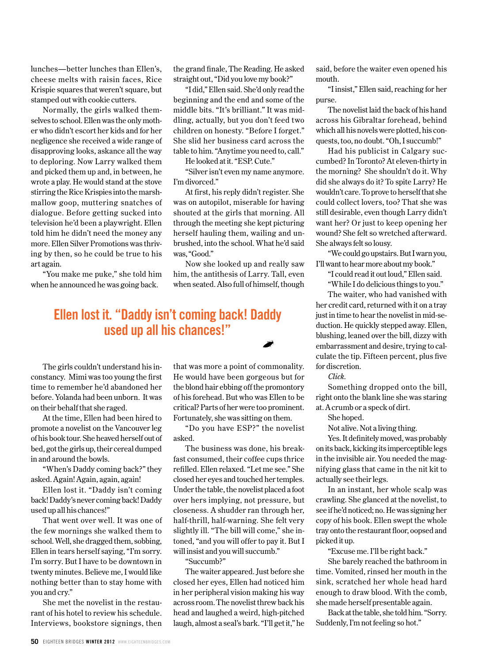lunches—better lunches than Ellen's, cheese melts with raisin faces, Rice Krispie squares that weren't square, but stamped out with cookie cutters.

Normally, the girls walked themselves to school. Ellen was the only mother who didn't escort her kids and for her negligence she received a wide range of disapproving looks, askance all the way to deploring. Now Larry walked them and picked them up and, in between, he wrote a play. He would stand at the stove stirring the Rice Krispies into the marshmallow goop, muttering snatches of dialogue. Before getting sucked into television he'd been a playwright. Ellen told him he didn't need the money any more. Ellen Silver Promotions was thriving by then, so he could be true to his art again.

"You make me puke," she told him when he announced he was going back.

the grand finale, The Reading. He asked straight out, "Did you love my book?"

"I did," Ellen said. She'd only read the beginning and the end and some of the middle bits. "It's brilliant." It was middling, actually, but you don't feed two children on honesty. "Before I forget." She slid her business card across the table to him. "Anytime you need to, call."

He looked at it. "ESP. Cute."

"Silver isn't even my name anymore. I'm divorced."

At first, his reply didn't register. She was on autopilot, miserable for having shouted at the girls that morning. All through the meeting she kept picturing herself hauling them, wailing and unbrushed, into the school. What he'd said was, "Good."

Now she looked up and really saw him, the antithesis of Larry. Tall, even when seated. Also full of himself, though

# **Ellen lost it. "Daddy isn't coming back! Daddy used up all his chances!"**

The girls couldn't understand his inconstancy. Mimi was too young the first time to remember he'd abandoned her before. Yolanda had been unborn. It was on their behalf that she raged.

At the time, Ellen had been hired to promote a novelist on the Vancouver leg of his book tour. She heaved herself out of bed, got the girls up, their cereal dumped in and around the bowls.

"When's Daddy coming back?" they asked. Again! Again, again, again!

Ellen lost it. "Daddy isn't coming back! Daddy's never coming back! Daddy used up all his chances!"

That went over well. It was one of the few mornings she walked them to school. Well, she dragged them, sobbing, Ellen in tears herself saying, "I'm sorry. I'm sorry. But I have to be downtown in twenty minutes. Believe me, I would like nothing better than to stay home with you and cry."

She met the novelist in the restaurant of his hotel to review his schedule. Interviews, bookstore signings, then

that was more a point of commonality. He would have been gorgeous but for the blond hair ebbing off the promontory of his forehead. But who was Ellen to be critical? Parts of her were too prominent. Fortunately, she was sitting on them.

"Do you have ESP?" the novelist asked.

The business was done, his breakfast consumed, their coffee cups thrice refilled. Ellen relaxed. "Let me see." She closed her eyes and touched her temples. Under the table, the novelist placed a foot over hers implying, not pressure, but closeness. A shudder ran through her, half-thrill, half-warning. She felt very slightly ill. "The bill will come," she intoned, "and you will offer to pay it. But I will insist and you will succumb."

"Succumb?"

The waiter appeared. Just before she closed her eyes, Ellen had noticed him in her peripheral vision making his way across room. The novelist threw back his head and laughed a weird, high-pitched laugh, almost a seal's bark. "I'll get it," he said, before the waiter even opened his mouth.

"I insist," Ellen said, reaching for her purse.

The novelist laid the back of his hand across his Gibraltar forehead, behind which all his novels were plotted, his conquests, too, no doubt. "Oh, I succumb!"

Had his publicist in Calgary succumbed? In Toronto? At eleven-thirty in the morning? She shouldn't do it. Why did she always do it? To spite Larry? He wouldn't care. To prove to herself that she could collect lovers, too? That she was still desirable, even though Larry didn't want her? Or just to keep opening her wound? She felt so wretched afterward. She always felt so lousy.

"We could go upstairs. But I warn you, I'll want to hear more about my book."

"I could read it out loud," Ellen said.

"While I do delicious things to you."

The waiter, who had vanished with her credit card, returned with it on a tray just in time to hear the novelist in mid-seduction. He quickly stepped away. Ellen, blushing, leaned over the bill, dizzy with embarrassment and desire, trying to calculate the tip. Fifteen percent, plus five for discretion.

*Click.* 

Something dropped onto the bill, right onto the blank line she was staring at. A crumb or a speck of dirt.

She hoped.

Not alive. Not a living thing.

Yes. It definitely moved, was probably on its back, kicking its imperceptible legs in the invisible air. You needed the magnifying glass that came in the nit kit to actually see their legs.

In an instant, her whole scalp was crawling. She glanced at the novelist, to see if he'd noticed; no. He was signing her copy of his book. Ellen swept the whole tray onto the restaurant floor, oopsed and picked it up.

"Excuse me. I'll be right back."

She barely reached the bathroom in time. Vomited, rinsed her mouth in the sink, scratched her whole head hard enough to draw blood. With the comb, she made herself presentable again.

Back at the table, she told him. "Sorry. Suddenly, I'm not feeling so hot."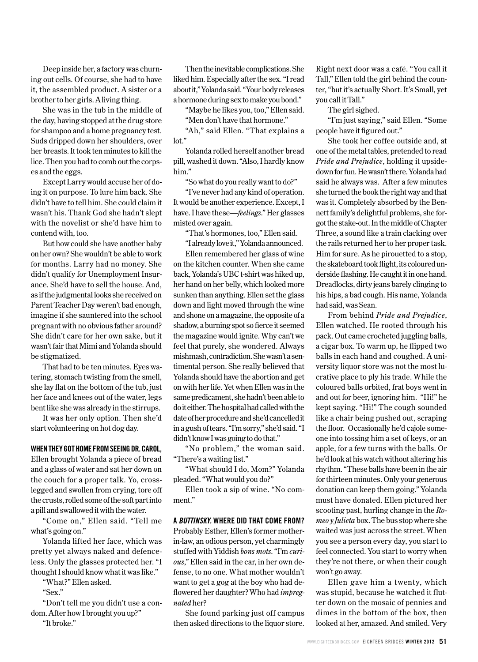Deep inside her, a factory was churning out cells. Of course, she had to have it, the assembled product. A sister or a brother to her girls. A living thing.

She was in the tub in the middle of the day, having stopped at the drug store for shampoo and a home pregnancy test. Suds dripped down her shoulders, over her breasts. It took ten minutes to kill the lice. Then you had to comb out the corpses and the eggs.

Except Larry would accuse her of doing it on purpose. To lure him back. She didn't have to tell him. She could claim it wasn't his. Thank God she hadn't slept with the novelist or she'd have him to contend with, too.

But how could she have another baby on her own? She wouldn't be able to work for months. Larry had no money. She didn't qualify for Unemployment Insurance. She'd have to sell the house. And, as if the judgmental looks she received on Parent Teacher Day weren't bad enough, imagine if she sauntered into the school pregnant with no obvious father around? She didn't care for her own sake, but it wasn't fair that Mimi and Yolanda should be stigmatized.

That had to be ten minutes. Eyes watering, stomach twisting from the smell, she lay flat on the bottom of the tub, just her face and knees out of the water, legs bent like she was already in the stirrups.

It was her only option. Then she'd start volunteering on hot dog day.

# **WHEN THEY GOT HOME FROM SEEING DR. CAROL,**

Ellen brought Yolanda a piece of bread and a glass of water and sat her down on the couch for a proper talk. Yo, crosslegged and swollen from crying, tore off the crusts, rolled some of the soft part into a pill and swallowed it with the water.

"Come on," Ellen said. "Tell me what's going on."

Yolanda lifted her face, which was pretty yet always naked and defenceless. Only the glasses protected her. "I thought I should know what it was like."

"What?" Ellen asked.

"Sex."

"Don't tell me you didn't use a condom. After how I brought you up?"

"It broke."

Then the inevitable complications. She liked him. Especially after the sex. "I read about it," Yolanda said. "Your body releases a hormone during sex to make you bond."

"Maybe he likes you, too," Ellen said.

"Men don't have that hormone."

"Ah," said Ellen. "That explains a lot."

Yolanda rolled herself another bread pill, washed it down. "Also, I hardly know him."

"So what do you really want to do?"

"I've never had any kind of operation. It would be another experience. Except, I have. I have these—*feelings*." Her glasses misted over again.

"That's hormones, too," Ellen said.

"I already love it," Yolanda announced. Ellen remembered her glass of wine on the kitchen counter. When she came back, Yolanda's UBC t-shirt was hiked up, her hand on her belly, which looked more sunken than anything. Ellen set the glass down and light moved through the wine and shone on a magazine, the opposite of a shadow, a burning spot so fierce it seemed the magazine would ignite. Why can't we feel that purely, she wondered. Always mishmash, contradiction. She wasn't a sentimental person. She really believed that Yolanda should have the abortion and get on with her life. Yet when Ellen was in the same predicament, she hadn't been able to do it either. The hospital had called with the date of her procedure and she'd cancelled it in a gush of tears. "I'm sorry," she'd said. "I didn't know I was going to do that."

"No problem," the woman said. "There's a waiting list."

"What should I do, Mom?" Yolanda pleaded. "What would you do?"

Ellen took a sip of wine. "No comment."

## **A** *BUTTINSKY.* **WHERE DID THAT COME FROM?**

Probably Esther, Ellen's former motherin-law, an odious person, yet charmingly stuffed with Yiddish *bons mots*. "I'm *curious*," Ellen said in the car, in her own defense, to no one. What mother wouldn't want to get a gog at the boy who had deflowered her daughter? Who had *impregnated* her?

She found parking just off campus then asked directions to the liquor store. Right next door was a café. "You call it Tall," Ellen told the girl behind the counter, "but it's actually Short. It's Small, yet you call it Tall."

The girl sighed.

"I'm just saying," said Ellen. "Some people have it figured out."

She took her coffee outside and, at one of the metal tables, pretended to read *Pride and Prejudice*, holding it upsidedown for fun. He wasn't there. Yolanda had said he always was. After a few minutes she turned the book the right way and that was it. Completely absorbed by the Bennett family's delightful problems, she forgot the stake-out. In the middle of Chapter Three, a sound like a train clacking over the rails returned her to her proper task. Him for sure. As he pirouetted to a stop, the skateboard took flight, its coloured underside flashing. He caught it in one hand. Dreadlocks, dirty jeans barely clinging to his hips, a bad cough. His name, Yolanda had said, was Sean.

From behind *Pride and Prejudice*, Ellen watched. He rooted through his pack. Out came crocheted juggling balls, a cigar box. To warm up, he flipped two balls in each hand and coughed. A university liquor store was not the most lucrative place to ply his trade. While the coloured balls orbited, frat boys went in and out for beer, ignoring him. "Hi!" he kept saying. "Hi!" The cough sounded like a chair being pushed out, scraping the floor. Occasionally he'd cajole someone into tossing him a set of keys, or an apple, for a few turns with the balls. Or he'd look at his watch without altering his rhythm. "These balls have been in the air for thirteen minutes. Only your generous donation can keep them going." Yolanda must have donated. Ellen pictured her scooting past, hurling change in the *Romeo y Julieta* box. The bus stop where she waited was just across the street. When you see a person every day, you start to feel connected. You start to worry when they're not there, or when their cough won't go away.

Ellen gave him a twenty, which was stupid, because he watched it flutter down on the mosaic of pennies and dimes in the bottom of the box, then looked at her, amazed. And smiled. Very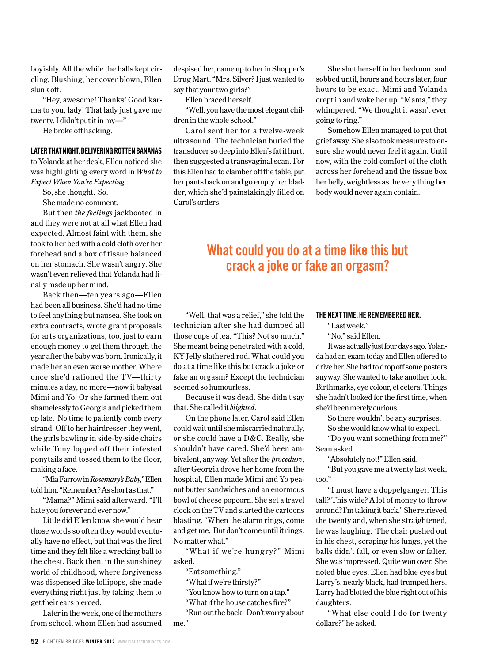boyishly. All the while the balls kept circling. Blushing, her cover blown, Ellen slunk off.

"Hey, awesome! Thanks! Good karma to you, lady! That lady just gave me twenty. I didn't put it in my—"

He broke off hacking.

# **LATER THAT NIGHT, DELIVERING ROTTEN BANANAS**

to Yolanda at her desk, Ellen noticed she was highlighting every word in *What to Expect When You're Expecting*.

So, she thought. So.

She made no comment.

But then *the feelings* jackbooted in and they were not at all what Ellen had expected. Almost faint with them, she took to her bed with a cold cloth over her forehead and a box of tissue balanced on her stomach. She wasn't angry. She wasn't even relieved that Yolanda had finally made up her mind.

Back then—ten years ago—Ellen had been all business. She'd had no time to feel anything but nausea. She took on extra contracts, wrote grant proposals for arts organizations, too, just to earn enough money to get them through the year after the baby was born. Ironically, it made her an even worse mother. Where once she'd rationed the TV—thirty minutes a day, no more—now it babysat Mimi and Yo. Or she farmed them out shamelessly to Georgia and picked them up late. No time to patiently comb every strand. Off to her hairdresser they went, the girls bawling in side-by-side chairs while Tony lopped off their infested ponytails and tossed them to the floor, making a face.

"Mia Farrow in *Rosemary's Baby*," Ellen told him. "Remember? As short as that."

"Mama?" Mimi said afterward. "I'll hate you forever and ever now."

Little did Ellen know she would hear those words so often they would eventually have no effect, but that was the first time and they felt like a wrecking ball to the chest. Back then, in the sunshiney world of childhood, where forgiveness was dispensed like lollipops, she made everything right just by taking them to get their ears pierced.

Later in the week, one of the mothers from school, whom Ellen had assumed despised her, came up to her in Shopper's Drug Mart. "Mrs. Silver? I just wanted to say that your two girls?"

Ellen braced herself.

"Well, you have the most elegant children in the whole school."

Carol sent her for a twelve-week ultrasound. The technician buried the transducer so deep into Ellen's fat it hurt, then suggested a transvaginal scan. For this Ellen had to clamber off the table, put her pants back on and go empty her bladder, which she'd painstakingly filled on Carol's orders.

She shut herself in her bedroom and sobbed until, hours and hours later, four hours to be exact, Mimi and Yolanda crept in and woke her up. "Mama," they whimpered. "We thought it wasn't ever going to ring."

Somehow Ellen managed to put that grief away. She also took measures to ensure she would never feel it again. Until now, with the cold comfort of the cloth across her forehead and the tissue box her belly, weightless as the very thing her body would never again contain.

# **What could you do at a time like this but crack a joke or fake an orgasm?**

"Well, that was a relief," she told the technician after she had dumped all those cups of tea. "This? Not so much." She meant being penetrated with a cold, KY Jelly slathered rod. What could you do at a time like this but crack a joke or fake an orgasm? Except the technician seemed so humourless.

Because it was dead. She didn't say that. She called it *blighted*.

On the phone later, Carol said Ellen could wait until she miscarried naturally, or she could have a D&C. Really, she shouldn't have cared. She'd been ambivalent, anyway. Yet after the *procedure*, after Georgia drove her home from the hospital, Ellen made Mimi and Yo peanut butter sandwiches and an enormous bowl of cheese popcorn. She set a travel clock on the TV and started the cartoons blasting. "When the alarm rings, come and get me. But don't come until it rings. No matter what."

"What if we're hungry?" Mimi asked.

"Eat something."

"What if we're thirsty?"

"You know how to turn on a tap."

"What if the house catches fire?"

"Run out the back. Don't worry about me."

#### **THE NEXT TIME, HE REMEMBERED HER.**

"Last week."

"No," said Ellen.

It was actually just four days ago. Yolanda had an exam today and Ellen offered to drive her. She had to drop off some posters anyway. She wanted to take another look. Birthmarks, eye colour, et cetera. Things she hadn't looked for the first time, when she'd been merely curious.

So there wouldn't be any surprises.

So she would know what to expect.

"Do you want something from me?" Sean asked.

"Absolutely not!" Ellen said.

"But you gave me a twenty last week, too."

"I must have a doppelganger. This tall? This wide? A lot of money to throw around? I'm taking it back." She retrieved the twenty and, when she straightened, he was laughing. The chair pushed out in his chest, scraping his lungs, yet the balls didn't fall, or even slow or falter. She was impressed. Quite won over. She noted blue eyes. Ellen had blue eyes but Larry's, nearly black, had trumped hers. Larry had blotted the blue right out of his daughters.

"What else could I do for twenty dollars?" he asked.